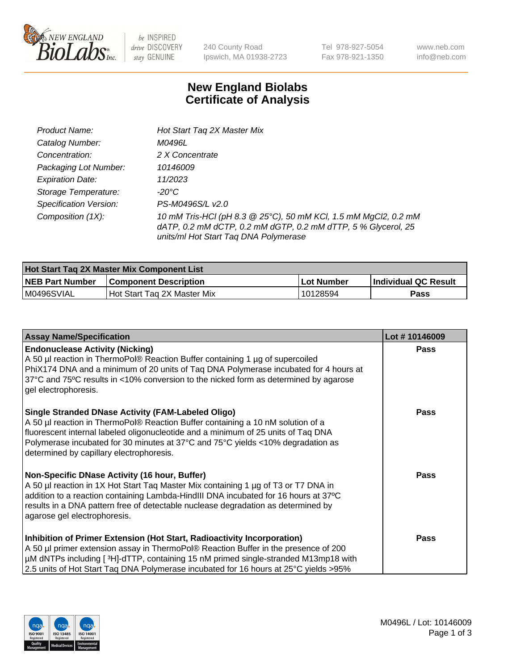

 $be$  INSPIRED drive DISCOVERY stay GENUINE

240 County Road Ipswich, MA 01938-2723

Tel 978-927-5054 Fax 978-921-1350 www.neb.com info@neb.com

## **New England Biolabs Certificate of Analysis**

| Product Name:                 | Hot Start Tag 2X Master Mix                                                                                                                                               |
|-------------------------------|---------------------------------------------------------------------------------------------------------------------------------------------------------------------------|
| Catalog Number:               | M0496L                                                                                                                                                                    |
| Concentration:                | 2 X Concentrate                                                                                                                                                           |
| Packaging Lot Number:         | 10146009                                                                                                                                                                  |
| <b>Expiration Date:</b>       | 11/2023                                                                                                                                                                   |
| Storage Temperature:          | -20°C                                                                                                                                                                     |
| <b>Specification Version:</b> | PS-M0496S/L v2.0                                                                                                                                                          |
| Composition (1X):             | 10 mM Tris-HCl (pH 8.3 @ 25°C), 50 mM KCl, 1.5 mM MgCl2, 0.2 mM<br>dATP, 0.2 mM dCTP, 0.2 mM dGTP, 0.2 mM dTTP, 5 % Glycerol, 25<br>units/ml Hot Start Taq DNA Polymerase |

| <b>Hot Start Tag 2X Master Mix Component List</b> |                              |            |                      |  |
|---------------------------------------------------|------------------------------|------------|----------------------|--|
| <b>NEB Part Number</b>                            | <b>Component Description</b> | Lot Number | Individual QC Result |  |
| IM0496SVIAL                                       | Hot Start Tag 2X Master Mix  | 10128594   | Pass                 |  |

| <b>Assay Name/Specification</b>                                                                                                                                                                                                                                                                                                                                  | Lot #10146009 |
|------------------------------------------------------------------------------------------------------------------------------------------------------------------------------------------------------------------------------------------------------------------------------------------------------------------------------------------------------------------|---------------|
| <b>Endonuclease Activity (Nicking)</b><br>A 50 µl reaction in ThermoPol® Reaction Buffer containing 1 µg of supercoiled<br>PhiX174 DNA and a minimum of 20 units of Taq DNA Polymerase incubated for 4 hours at<br>37°C and 75°C results in <10% conversion to the nicked form as determined by agarose<br>gel electrophoresis.                                  | <b>Pass</b>   |
| <b>Single Stranded DNase Activity (FAM-Labeled Oligo)</b><br>A 50 µl reaction in ThermoPol® Reaction Buffer containing a 10 nM solution of a<br>fluorescent internal labeled oligonucleotide and a minimum of 25 units of Taq DNA<br>Polymerase incubated for 30 minutes at 37°C and 75°C yields <10% degradation as<br>determined by capillary electrophoresis. | <b>Pass</b>   |
| Non-Specific DNase Activity (16 hour, Buffer)<br>A 50 µl reaction in 1X Hot Start Taq Master Mix containing 1 µg of T3 or T7 DNA in<br>addition to a reaction containing Lambda-HindIII DNA incubated for 16 hours at 37°C<br>results in a DNA pattern free of detectable nuclease degradation as determined by<br>agarose gel electrophoresis.                  | Pass          |
| Inhibition of Primer Extension (Hot Start, Radioactivity Incorporation)<br>A 50 µl primer extension assay in ThermoPol® Reaction Buffer in the presence of 200<br>µM dNTPs including [3H]-dTTP, containing 15 nM primed single-stranded M13mp18 with<br>2.5 units of Hot Start Taq DNA Polymerase incubated for 16 hours at 25°C yields > 95%                    | <b>Pass</b>   |

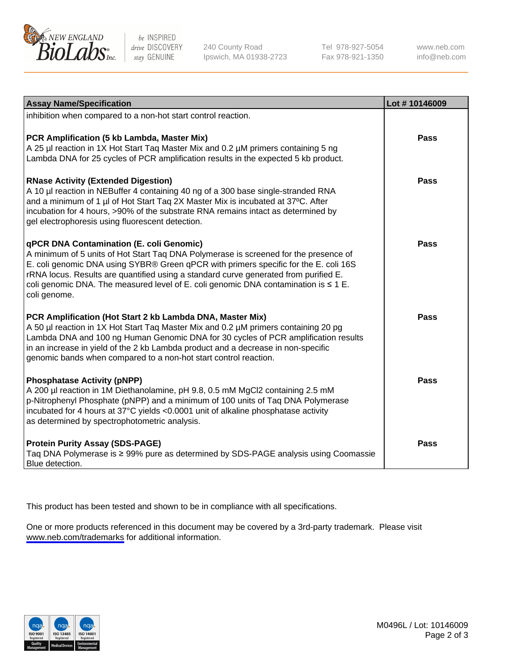

be INSPIRED drive DISCOVERY stay GENUINE

240 County Road Ipswich, MA 01938-2723 Tel 978-927-5054 Fax 978-921-1350

www.neb.com info@neb.com

| <b>Assay Name/Specification</b>                                                                                                                                                                                                                                                                                                                                                                                              | Lot #10146009 |
|------------------------------------------------------------------------------------------------------------------------------------------------------------------------------------------------------------------------------------------------------------------------------------------------------------------------------------------------------------------------------------------------------------------------------|---------------|
| inhibition when compared to a non-hot start control reaction.                                                                                                                                                                                                                                                                                                                                                                |               |
| PCR Amplification (5 kb Lambda, Master Mix)<br>A 25 µl reaction in 1X Hot Start Taq Master Mix and 0.2 µM primers containing 5 ng<br>Lambda DNA for 25 cycles of PCR amplification results in the expected 5 kb product.                                                                                                                                                                                                     | <b>Pass</b>   |
| <b>RNase Activity (Extended Digestion)</b><br>A 10 µl reaction in NEBuffer 4 containing 40 ng of a 300 base single-stranded RNA<br>and a minimum of 1 µl of Hot Start Taq 2X Master Mix is incubated at 37°C. After<br>incubation for 4 hours, >90% of the substrate RNA remains intact as determined by<br>gel electrophoresis using fluorescent detection.                                                                 | <b>Pass</b>   |
| qPCR DNA Contamination (E. coli Genomic)<br>A minimum of 5 units of Hot Start Taq DNA Polymerase is screened for the presence of<br>E. coli genomic DNA using SYBR® Green qPCR with primers specific for the E. coli 16S<br>rRNA locus. Results are quantified using a standard curve generated from purified E.<br>coli genomic DNA. The measured level of E. coli genomic DNA contamination is $\leq 1$ E.<br>coli genome. | Pass          |
| PCR Amplification (Hot Start 2 kb Lambda DNA, Master Mix)<br>A 50 µl reaction in 1X Hot Start Taq Master Mix and 0.2 µM primers containing 20 pg<br>Lambda DNA and 100 ng Human Genomic DNA for 30 cycles of PCR amplification results<br>in an increase in yield of the 2 kb Lambda product and a decrease in non-specific<br>genomic bands when compared to a non-hot start control reaction.                              | <b>Pass</b>   |
| <b>Phosphatase Activity (pNPP)</b><br>A 200 µl reaction in 1M Diethanolamine, pH 9.8, 0.5 mM MgCl2 containing 2.5 mM<br>p-Nitrophenyl Phosphate (pNPP) and a minimum of 100 units of Taq DNA Polymerase<br>incubated for 4 hours at 37°C yields <0.0001 unit of alkaline phosphatase activity<br>as determined by spectrophotometric analysis.                                                                               | <b>Pass</b>   |
| <b>Protein Purity Assay (SDS-PAGE)</b><br>Taq DNA Polymerase is ≥ 99% pure as determined by SDS-PAGE analysis using Coomassie<br>Blue detection.                                                                                                                                                                                                                                                                             | Pass          |

This product has been tested and shown to be in compliance with all specifications.

One or more products referenced in this document may be covered by a 3rd-party trademark. Please visit <www.neb.com/trademarks>for additional information.